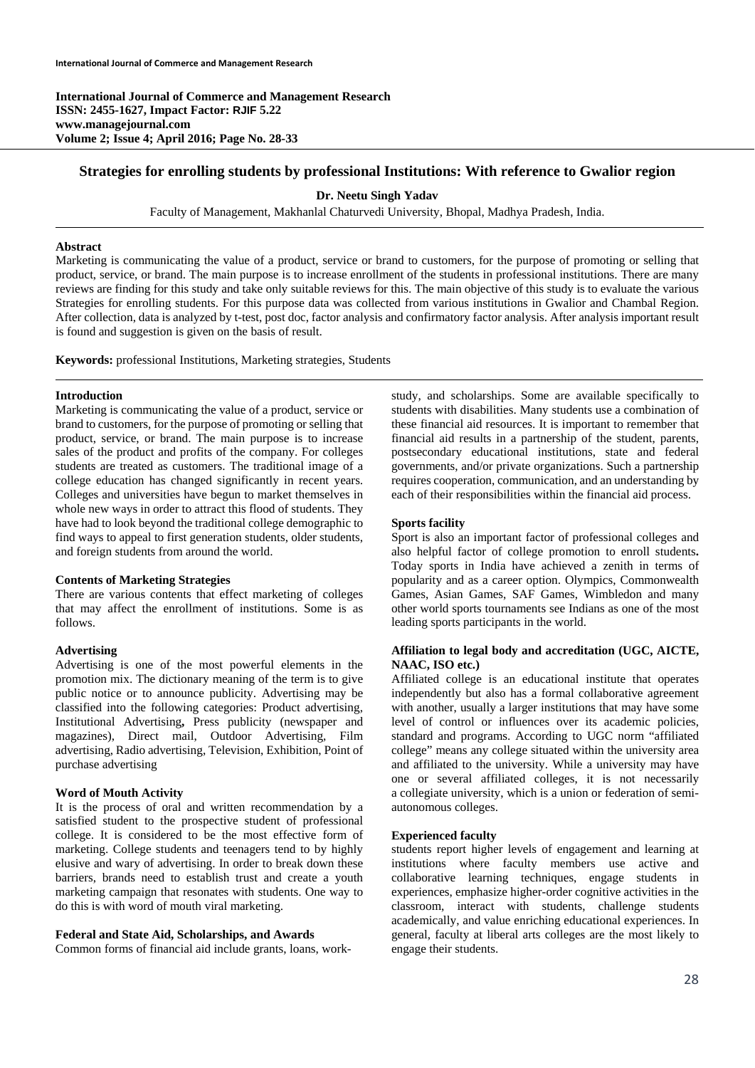**International Journal of Commerce and Management Research ISSN: 2455-1627, Impact Factor: RJIF 5.22 www.managejournal.com Volume 2; Issue 4; April 2016; Page No. 28-33** 

## **Strategies for enrolling students by professional Institutions: With reference to Gwalior region**

**Dr. Neetu Singh Yadav** 

Faculty of Management, Makhanlal Chaturvedi University, Bhopal, Madhya Pradesh, India.

## **Abstract**

Marketing is communicating the value of a product, service or brand to customers, for the purpose of promoting or selling that product, service, or brand. The main purpose is to increase enrollment of the students in professional institutions. There are many reviews are finding for this study and take only suitable reviews for this. The main objective of this study is to evaluate the various Strategies for enrolling students. For this purpose data was collected from various institutions in Gwalior and Chambal Region. After collection, data is analyzed by t-test, post doc, factor analysis and confirmatory factor analysis. After analysis important result is found and suggestion is given on the basis of result.

**Keywords:** professional Institutions, Marketing strategies, Students

#### **Introduction**

Marketing is communicating the value of a product, service or brand to customers, for the purpose of promoting or selling that product, service, or brand. The main purpose is to increase sales of the product and profits of the company. For colleges students are treated as customers. The traditional image of a college education has changed significantly in recent years. Colleges and universities have begun to market themselves in whole new ways in order to attract this flood of students. They have had to look beyond the traditional college demographic to find ways to appeal to first generation students, older students, and foreign students from around the world.

### **Contents of Marketing Strategies**

There are various contents that effect marketing of colleges that may affect the enrollment of institutions. Some is as follows.

### **Advertising**

Advertising is one of the most powerful elements in the promotion mix. The dictionary meaning of the term is to give public notice or to announce publicity. Advertising may be classified into the following categories: Product advertising, Institutional Advertising**,** Press publicity (newspaper and magazines), Direct mail, Outdoor Advertising, Film advertising, Radio advertising, Television, Exhibition, Point of purchase advertising

#### **Word of Mouth Activity**

It is the process of oral and written recommendation by a satisfied student to the prospective student of professional college. It is considered to be the most effective form of marketing. College students and teenagers tend to by highly elusive and wary of advertising. In order to break down these barriers, brands need to establish trust and create a youth marketing campaign that resonates with students. One way to do this is with word of mouth viral marketing.

#### **Federal and State Aid, Scholarships, and Awards**

Common forms of financial aid include grants, loans, work-

study, and scholarships. Some are available specifically to students with disabilities. Many students use a combination of these financial aid resources. It is important to remember that financial aid results in a partnership of the student, parents, postsecondary educational institutions, state and federal governments, and/or private organizations. Such a partnership requires cooperation, communication, and an understanding by each of their responsibilities within the financial aid process.

#### **Sports facility**

Sport is also an important factor of professional colleges and also helpful factor of college promotion to enroll students**.** Today sports in India have achieved a zenith in terms of popularity and as a career option. Olympics, Commonwealth Games, Asian Games, SAF Games, Wimbledon and many other world sports tournaments see Indians as one of the most leading sports participants in the world.

## **Affiliation to legal body and accreditation (UGC, AICTE, NAAC, ISO etc.)**

Affiliated college is an educational institute that operates independently but also has a formal collaborative agreement with another, usually a larger institutions that may have some level of control or influences over its academic policies, standard and programs. According to UGC norm "affiliated college" means any college situated within the university area and affiliated to the university. While a university may have one or several affiliated colleges, it is not necessarily a collegiate university, which is a union or federation of semiautonomous colleges.

#### **Experienced faculty**

students report higher levels of engagement and learning at institutions where faculty members use active and collaborative learning techniques, engage students in experiences, emphasize higher-order cognitive activities in the classroom, interact with students, challenge students academically, and value enriching educational experiences. In general, faculty at liberal arts colleges are the most likely to engage their students.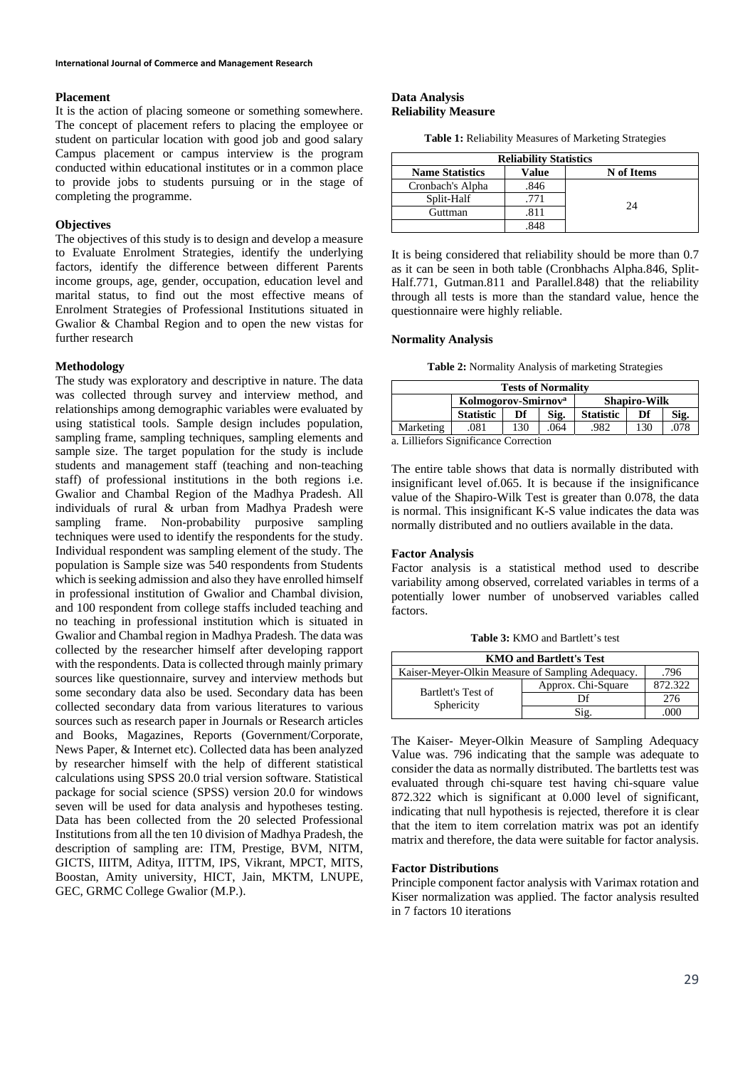### **Placement**

It is the action of placing someone or something somewhere. The concept of placement refers to placing the employee or student on particular location with good job and good salary Campus placement or campus interview is the program conducted within educational institutes or in a common place to provide jobs to students pursuing or in the stage of completing the programme.

#### **Objectives**

The objectives of this study is to design and develop a measure to Evaluate Enrolment Strategies, identify the underlying factors, identify the difference between different Parents income groups, age, gender, occupation, education level and marital status, to find out the most effective means of Enrolment Strategies of Professional Institutions situated in Gwalior & Chambal Region and to open the new vistas for further research

#### **Methodology**

The study was exploratory and descriptive in nature. The data was collected through survey and interview method, and relationships among demographic variables were evaluated by using statistical tools. Sample design includes population, sampling frame, sampling techniques, sampling elements and sample size. The target population for the study is include students and management staff (teaching and non-teaching staff) of professional institutions in the both regions i.e. Gwalior and Chambal Region of the Madhya Pradesh. All individuals of rural & urban from Madhya Pradesh were sampling frame. Non-probability purposive sampling techniques were used to identify the respondents for the study. Individual respondent was sampling element of the study. The population is Sample size was 540 respondents from Students which is seeking admission and also they have enrolled himself in professional institution of Gwalior and Chambal division, and 100 respondent from college staffs included teaching and no teaching in professional institution which is situated in Gwalior and Chambal region in Madhya Pradesh. The data was collected by the researcher himself after developing rapport with the respondents. Data is collected through mainly primary sources like questionnaire, survey and interview methods but some secondary data also be used. Secondary data has been collected secondary data from various literatures to various sources such as research paper in Journals or Research articles and Books, Magazines, Reports (Government/Corporate, News Paper, & Internet etc). Collected data has been analyzed by researcher himself with the help of different statistical calculations using SPSS 20.0 trial version software. Statistical package for social science (SPSS) version 20.0 for windows seven will be used for data analysis and hypotheses testing. Data has been collected from the 20 selected Professional Institutions from all the ten 10 division of Madhya Pradesh, the description of sampling are: ITM, Prestige, BVM, NITM, GICTS, IIITM, Aditya, IITTM, IPS, Vikrant, MPCT, MITS, Boostan, Amity university, HICT, Jain, MKTM, LNUPE, GEC, GRMC College Gwalior (M.P.).

## **Data Analysis Reliability Measure**

|  | <b>Table 1:</b> Reliability Measures of Marketing Strategies |
|--|--------------------------------------------------------------|
|--|--------------------------------------------------------------|

| <b>Reliability Statistics</b> |       |            |  |  |  |  |  |
|-------------------------------|-------|------------|--|--|--|--|--|
| <b>Name Statistics</b>        | Value | N of Items |  |  |  |  |  |
| Cronbach's Alpha              | .846  |            |  |  |  |  |  |
| Split-Half                    | .771  | 24         |  |  |  |  |  |
| Guttman                       | 811   |            |  |  |  |  |  |
|                               | 848   |            |  |  |  |  |  |

It is being considered that reliability should be more than 0.7 as it can be seen in both table (Cronbhachs Alpha.846, Split-Half.771, Gutman.811 and Parallel.848) that the reliability through all tests is more than the standard value, hence the questionnaire were highly reliable.

# **Normality Analysis**

|  |  |  |  | Table 2: Normality Analysis of marketing Strategies |
|--|--|--|--|-----------------------------------------------------|
|--|--|--|--|-----------------------------------------------------|

| <b>Tests of Normality</b>             |                                 |            |      |                     |     |      |  |  |  |  |
|---------------------------------------|---------------------------------|------------|------|---------------------|-----|------|--|--|--|--|
|                                       | Kolmogorov-Smirnov <sup>a</sup> |            |      | <b>Shapiro-Wilk</b> |     |      |  |  |  |  |
|                                       | <b>Statistic</b>                | Sig.<br>Df |      | <b>Statistic</b>    | Df  | Sig. |  |  |  |  |
| Marketing                             | .081                            | 130        | .064 | .982                | 130 | .078 |  |  |  |  |
| a. Lilliefors Significance Correction |                                 |            |      |                     |     |      |  |  |  |  |

The entire table shows that data is normally distributed with insignificant level of.065. It is because if the insignificance value of the Shapiro-Wilk Test is greater than 0.078, the data is normal. This insignificant K-S value indicates the data was normally distributed and no outliers available in the data.

#### **Factor Analysis**

Factor analysis is a statistical method used to describe variability among observed, correlated variables in terms of a potentially lower number of unobserved variables called factors.

**Table 3:** KMO and Bartlett's test

| <b>KMO and Bartlett's Test</b>                           |                    |         |  |  |  |  |
|----------------------------------------------------------|--------------------|---------|--|--|--|--|
| Kaiser-Meyer-Olkin Measure of Sampling Adequacy.<br>.796 |                    |         |  |  |  |  |
|                                                          | Approx. Chi-Square | 872.322 |  |  |  |  |
| Bartlett's Test of<br>Sphericity                         |                    | 276     |  |  |  |  |
|                                                          | Sig.               | K X I   |  |  |  |  |

The Kaiser- Meyer-Olkin Measure of Sampling Adequacy Value was. 796 indicating that the sample was adequate to consider the data as normally distributed. The bartletts test was evaluated through chi-square test having chi-square value 872.322 which is significant at 0.000 level of significant, indicating that null hypothesis is rejected, therefore it is clear that the item to item correlation matrix was pot an identify matrix and therefore, the data were suitable for factor analysis.

### **Factor Distributions**

Principle component factor analysis with Varimax rotation and Kiser normalization was applied. The factor analysis resulted in 7 factors 10 iterations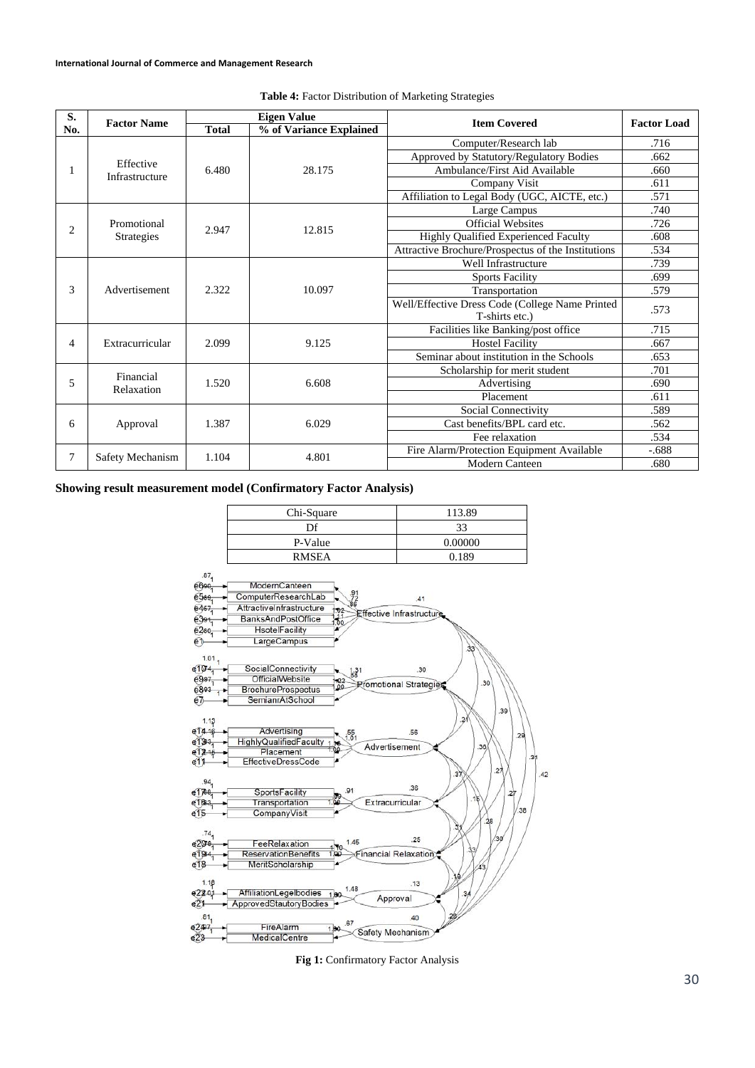| S.             | <b>Factor Name</b> |              | <b>Eigen Value</b>      | <b>Item Covered</b>                                | <b>Factor Load</b> |  |
|----------------|--------------------|--------------|-------------------------|----------------------------------------------------|--------------------|--|
| No.            |                    | <b>Total</b> | % of Variance Explained |                                                    |                    |  |
|                |                    |              |                         | Computer/Research lab                              | .716               |  |
|                | Effective          |              |                         | Approved by Statutory/Regulatory Bodies            | .662               |  |
|                | Infrastructure     | 6.480        | 28.175                  | Ambulance/First Aid Available                      | .660               |  |
|                |                    |              |                         | Company Visit                                      | .611               |  |
|                |                    |              |                         | Affiliation to Legal Body (UGC, AICTE, etc.)       | .571               |  |
|                |                    |              |                         | Large Campus                                       | .740               |  |
| $\overline{c}$ | Promotional        | 2.947        | 12.815                  | <b>Official Websites</b>                           | .726               |  |
|                | <b>Strategies</b>  |              |                         | Highly Qualified Experienced Faculty               | .608               |  |
|                |                    |              |                         | Attractive Brochure/Prospectus of the Institutions | .534               |  |
|                |                    |              |                         | Well Infrastructure                                | .739               |  |
|                | Advertisement      |              |                         | <b>Sports Facility</b>                             | .699               |  |
| 3              |                    | 2.322        | 10.097                  | Transportation                                     | .579               |  |
|                |                    |              |                         | Well/Effective Dress Code (College Name Printed    | .573               |  |
|                |                    |              |                         | T-shirts etc.)                                     |                    |  |
|                |                    |              |                         | Facilities like Banking/post office                | .715               |  |
| 4              | Extracurricular    | 2.099        | 9.125                   | <b>Hostel Facility</b>                             | .667               |  |
|                |                    |              |                         | Seminar about institution in the Schools           | .653               |  |
|                | Financial          |              |                         | Scholarship for merit student                      | .701               |  |
| 5              | Relaxation         | 1.520        | 6.608                   | Advertising                                        | .690               |  |
|                |                    |              |                         | Placement                                          | .611               |  |
|                |                    |              |                         | Social Connectivity                                | .589               |  |
| 6              | Approval           | 1.387        | 6.029                   | Cast benefits/BPL card etc.                        | .562               |  |
|                |                    |              |                         | Fee relaxation                                     | .534               |  |
| 7              | Safety Mechanism   | 1.104        | 4.801                   | Fire Alarm/Protection Equipment Available          | $-.688$            |  |
|                |                    |              |                         | <b>Modern Canteen</b>                              | .680               |  |

## **Table 4:** Factor Distribution of Marketing Strategies

# **Showing result measurement model (Confirmatory Factor Analysis)**

| Chi-Square   | 113.89  |
|--------------|---------|
| Df           | 33      |
| P-Value      | 0.00000 |
| <b>RMSEA</b> | 0.189   |
|              |         |



Fig 1: Confirmatory Factor Analysis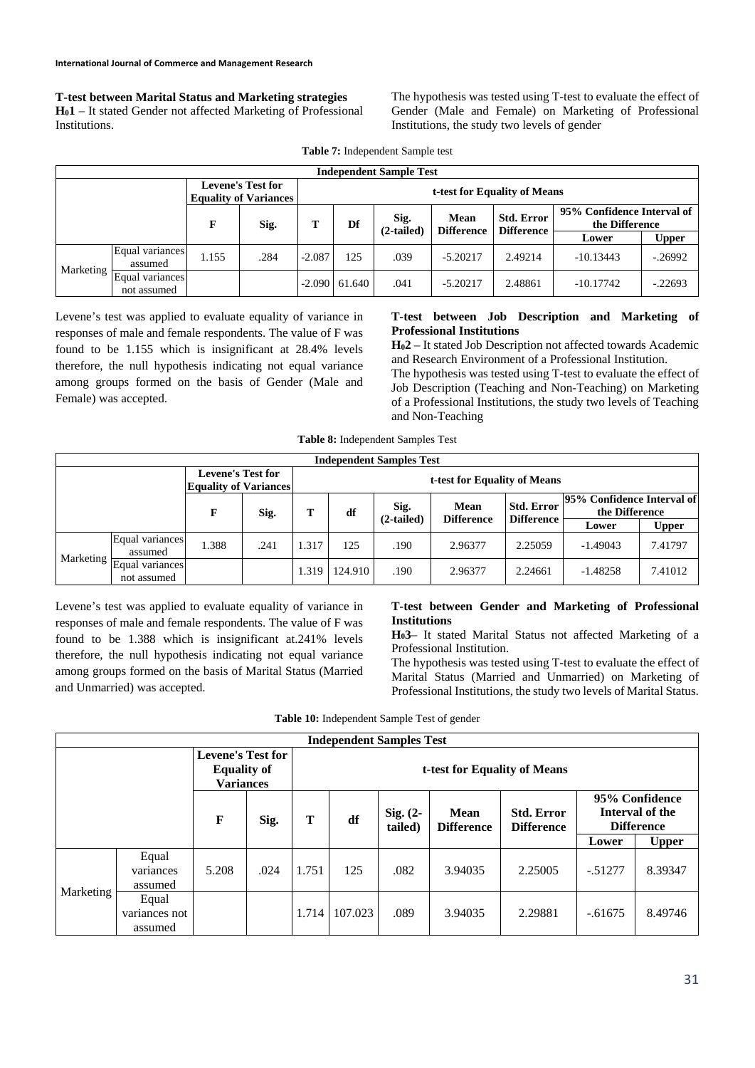**T-test between Marital Status and Marketing strategies H01** – It stated Gender not affected Marketing of Professional Institutions.

The hypothesis was tested using T-test to evaluate the effect of Gender (Male and Female) on Marketing of Professional Institutions, the study two levels of gender

| <b>Independent Sample Test</b> |                                |                                                          |      |                              |                            |      |                   |                                              |             |              |
|--------------------------------|--------------------------------|----------------------------------------------------------|------|------------------------------|----------------------------|------|-------------------|----------------------------------------------|-------------|--------------|
|                                |                                | <b>Levene's Test for</b><br><b>Equality of Variances</b> |      | t-test for Equality of Means |                            |      |                   |                                              |             |              |
|                                |                                | F                                                        | Sig. | т                            | Sig.<br>Df<br>$(2-tailed)$ | Mean | <b>Std. Error</b> | 95% Confidence Interval of<br>the Difference |             |              |
|                                |                                |                                                          |      |                              |                            |      | <b>Difference</b> | <b>Difference</b>                            | Lower       | <b>Upper</b> |
| Marketing                      | Equal variances<br>assumed     | 1.155                                                    | .284 | $-2.087$                     | 125                        | .039 | $-5.20217$        | 2.49214                                      | $-10.13443$ | $-0.26992$   |
|                                | Equal variances<br>not assumed |                                                          |      |                              | $-2.090 \mid 61.640$       | .041 | $-5.20217$        | 2.48861                                      | $-10.17742$ | $-.22693$    |

**Table 7:** Independent Sample test

Levene's test was applied to evaluate equality of variance in responses of male and female respondents. The value of F was found to be 1.155 which is insignificant at 28.4% levels therefore, the null hypothesis indicating not equal variance among groups formed on the basis of Gender (Male and Female) was accepted.

# **T-test between Job Description and Marketing of Professional Institutions**

**H02** – It stated Job Description not affected towards Academic and Research Environment of a Professional Institution.

The hypothesis was tested using T-test to evaluate the effect of Job Description (Teaching and Non-Teaching) on Marketing of a Professional Institutions, the study two levels of Teaching and Non-Teaching

|  | <b>Table 8:</b> Independent Samples Test |  |  |
|--|------------------------------------------|--|--|
|--|------------------------------------------|--|--|

| <b>Independent Samples Test</b> |                                |       |                                                          |       |                              |                      |                           |                                        |                                              |              |
|---------------------------------|--------------------------------|-------|----------------------------------------------------------|-------|------------------------------|----------------------|---------------------------|----------------------------------------|----------------------------------------------|--------------|
|                                 |                                |       | <b>Levene's Test for</b><br><b>Equality of Variances</b> |       | t-test for Equality of Means |                      |                           |                                        |                                              |              |
|                                 |                                | F     | Sig.                                                     | т     | df                           | Sig.<br>$(2-tailed)$ | Mean<br><b>Difference</b> | <b>Std. Error</b><br><b>Difference</b> | 95% Confidence Interval of<br>the Difference |              |
|                                 |                                |       |                                                          |       |                              |                      |                           |                                        | Lower                                        | <b>Upper</b> |
| Marketing                       | Equal variances<br>assumed     | 1.388 | .241                                                     | .317  | 125                          | .190                 | 2.96377                   | 2.25059                                | $-1.49043$                                   | 7.41797      |
|                                 | Equal variances<br>not assumed |       |                                                          | 1.319 | 124.910                      | .190                 | 2.96377                   | 2.24661                                | $-1.48258$                                   | 7.41012      |

Levene's test was applied to evaluate equality of variance in responses of male and female respondents. The value of F was found to be 1.388 which is insignificant at.241% levels therefore, the null hypothesis indicating not equal variance among groups formed on the basis of Marital Status (Married and Unmarried) was accepted.

## **T-test between Gender and Marketing of Professional Institutions**

**H03**– It stated Marital Status not affected Marketing of a Professional Institution.

The hypothesis was tested using T-test to evaluate the effect of Marital Status (Married and Unmarried) on Marketing of Professional Institutions, the study two levels of Marital Status.

|  | Table 10: Independent Sample Test of gender |
|--|---------------------------------------------|
|--|---------------------------------------------|

| <b>Independent Samples Test</b> |                                   |                                                                    |      |       |                              |                     |                           |                                        |            |                                                        |  |
|---------------------------------|-----------------------------------|--------------------------------------------------------------------|------|-------|------------------------------|---------------------|---------------------------|----------------------------------------|------------|--------------------------------------------------------|--|
|                                 |                                   | <b>Levene's Test for</b><br><b>Equality of</b><br><b>Variances</b> |      |       | t-test for Equality of Means |                     |                           |                                        |            |                                                        |  |
|                                 |                                   | F                                                                  | Sig. | т     | df                           | Sig. (2-<br>tailed) | Mean<br><b>Difference</b> | <b>Std. Error</b><br><b>Difference</b> |            | 95% Confidence<br>Interval of the<br><b>Difference</b> |  |
|                                 |                                   |                                                                    |      |       |                              |                     |                           |                                        | Lower      | <b>Upper</b>                                           |  |
| Marketing                       | Equal<br>variances<br>assumed     | 5.208                                                              | .024 | 1.751 | 125                          | .082                | 3.94035                   | 2.25005                                | $-0.51277$ | 8.39347                                                |  |
|                                 | Equal<br>variances not<br>assumed |                                                                    |      | 1.714 | 107.023                      | .089                | 3.94035                   | 2.29881                                | $-.61675$  | 8.49746                                                |  |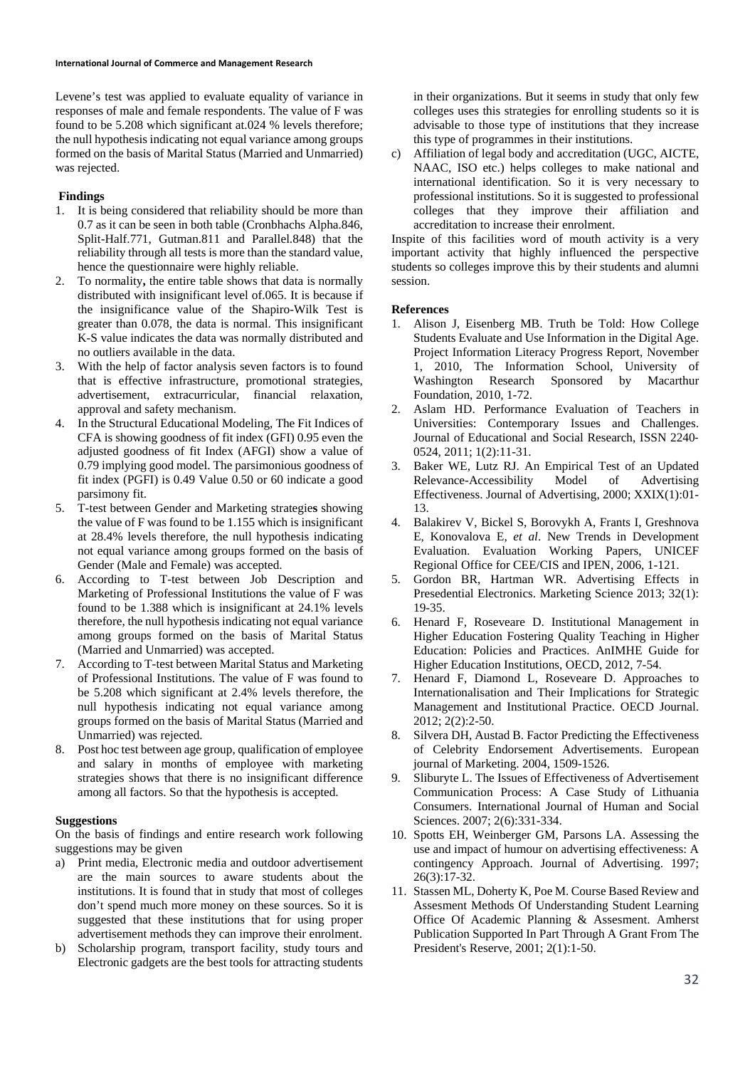Levene's test was applied to evaluate equality of variance in responses of male and female respondents. The value of F was found to be 5.208 which significant at.024 % levels therefore; the null hypothesis indicating not equal variance among groups formed on the basis of Marital Status (Married and Unmarried) was rejected.

# **Findings**

- 1. It is being considered that reliability should be more than 0.7 as it can be seen in both table (Cronbhachs Alpha.846, Split-Half.771, Gutman.811 and Parallel.848) that the reliability through all tests is more than the standard value, hence the questionnaire were highly reliable.
- 2. To normality**,** the entire table shows that data is normally distributed with insignificant level of.065. It is because if the insignificance value of the Shapiro-Wilk Test is greater than 0.078, the data is normal. This insignificant K-S value indicates the data was normally distributed and no outliers available in the data.
- 3. With the help of factor analysis seven factors is to found that is effective infrastructure, promotional strategies, advertisement, extracurricular, financial relaxation, approval and safety mechanism.
- 4. In the Structural Educational Modeling, The Fit Indices of CFA is showing goodness of fit index (GFI) 0.95 even the adjusted goodness of fit Index (AFGI) show a value of 0.79 implying good model. The parsimonious goodness of fit index (PGFI) is 0.49 Value 0.50 or 60 indicate a good parsimony fit.
- 5. T-test between Gender and Marketing strategie**s** showing the value of F was found to be 1.155 which is insignificant at 28.4% levels therefore, the null hypothesis indicating not equal variance among groups formed on the basis of Gender (Male and Female) was accepted.
- 6. According to T-test between Job Description and Marketing of Professional Institutions the value of F was found to be 1.388 which is insignificant at 24.1% levels therefore, the null hypothesis indicating not equal variance among groups formed on the basis of Marital Status (Married and Unmarried) was accepted.
- 7. According to T-test between Marital Status and Marketing of Professional Institutions. The value of F was found to be 5.208 which significant at 2.4% levels therefore, the null hypothesis indicating not equal variance among groups formed on the basis of Marital Status (Married and Unmarried) was rejected.
- 8. Post hoc test between age group, qualification of employee and salary in months of employee with marketing strategies shows that there is no insignificant difference among all factors. So that the hypothesis is accepted.

### **Suggestions**

On the basis of findings and entire research work following suggestions may be given

- a) Print media, Electronic media and outdoor advertisement are the main sources to aware students about the institutions. It is found that in study that most of colleges don't spend much more money on these sources. So it is suggested that these institutions that for using proper advertisement methods they can improve their enrolment.
- b) Scholarship program, transport facility, study tours and Electronic gadgets are the best tools for attracting students

in their organizations. But it seems in study that only few colleges uses this strategies for enrolling students so it is advisable to those type of institutions that they increase this type of programmes in their institutions.

c) Affiliation of legal body and accreditation (UGC, AICTE, NAAC, ISO etc.) helps colleges to make national and international identification. So it is very necessary to professional institutions. So it is suggested to professional colleges that they improve their affiliation and accreditation to increase their enrolment.

Inspite of this facilities word of mouth activity is a very important activity that highly influenced the perspective students so colleges improve this by their students and alumni session.

### **References**

- 1. Alison J, Eisenberg MB. Truth be Told: How College Students Evaluate and Use Information in the Digital Age. Project Information Literacy Progress Report, November 1, 2010, The Information School, University of Washington Research Sponsored by Macarthur Foundation, 2010, 1-72.
- 2. Aslam HD. Performance Evaluation of Teachers in Universities: Contemporary Issues and Challenges. Journal of Educational and Social Research, ISSN 2240‐ 0524, 2011; 1(2):11-31.
- 3. Baker WE, Lutz RJ. An Empirical Test of an Updated Relevance-Accessibility Model of Advertising Effectiveness. Journal of Advertising, 2000; XXIX(1):01- 13.
- 4. Balakirev V, Bickel S, Borovykh A, Frants I, Greshnova E, Konovalova E, *et al*. New Trends in Development Evaluation. Evaluation Working Papers, UNICEF Regional Office for CEE/CIS and IPEN, 2006, 1-121.
- 5. Gordon BR, Hartman WR. Advertising Effects in Presedential Electronics. Marketing Science 2013; 32(1): 19-35.
- 6. Henard F, Roseveare D. Institutional Management in Higher Education Fostering Quality Teaching in Higher Education: Policies and Practices. AnIMHE Guide for Higher Education Institutions, OECD, 2012, 7-54.
- 7. Henard F, Diamond L, Roseveare D. Approaches to Internationalisation and Their Implications for Strategic Management and Institutional Practice. OECD Journal. 2012; 2(2):2-50.
- 8. Silvera DH, Austad B. Factor Predicting the Effectiveness of Celebrity Endorsement Advertisements. European journal of Marketing. 2004, 1509-1526.
- 9. Sliburyte L. The Issues of Effectiveness of Advertisement Communication Process: A Case Study of Lithuania Consumers. International Journal of Human and Social Sciences. 2007; 2(6):331-334.
- 10. Spotts EH, Weinberger GM, Parsons LA. Assessing the use and impact of humour on advertising effectiveness: A contingency Approach. Journal of Advertising. 1997; 26(3):17-32.
- 11. Stassen ML, Doherty K, Poe M. Course Based Review and Assesment Methods Of Understanding Student Learning Office Of Academic Planning & Assesment. Amherst Publication Supported In Part Through A Grant From The President's Reserve, 2001; 2(1):1-50.